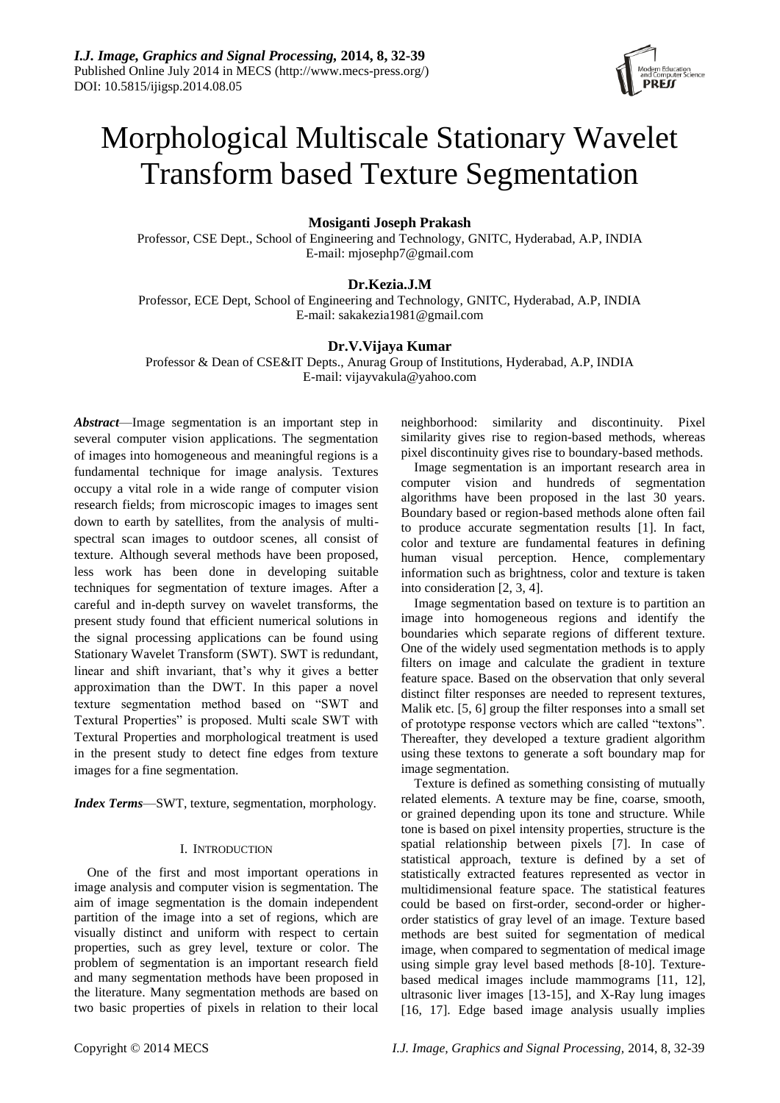

# Morphological Multiscale Stationary Wavelet Transform based Texture Segmentation

# **Mosiganti Joseph Prakash**

Professor, CSE Dept., School of Engineering and Technology, GNITC, Hyderabad, A.P, INDIA E-mail: mjosephp7@gmail.com

# **Dr.Kezia.J.M**

Professor, ECE Dept, School of Engineering and Technology, GNITC, Hyderabad, A.P, INDIA E-mail: sakakezia1981@gmail.com

# **Dr.V.Vijaya Kumar**

Professor & Dean of CSE&IT Depts., Anurag Group of Institutions, Hyderabad, A.P, INDIA E-mail: vijayvakula@yahoo.com

*Abstract*—Image segmentation is an important step in several computer vision applications. The segmentation of images into homogeneous and meaningful regions is a fundamental technique for image analysis. Textures occupy a vital role in a wide range of computer vision research fields; from microscopic images to images sent down to earth by satellites, from the analysis of multispectral scan images to outdoor scenes, all consist of texture. Although several methods have been proposed, less work has been done in developing suitable techniques for segmentation of texture images. After a careful and in-depth survey on wavelet transforms, the present study found that efficient numerical solutions in the signal processing applications can be found using Stationary Wavelet Transform (SWT). SWT is redundant, linear and shift invariant, that's why it gives a better approximation than the DWT. In this paper a novel texture segmentation method based on "SWT and Textural Properties" is proposed. Multi scale SWT with Textural Properties and morphological treatment is used in the present study to detect fine edges from texture images for a fine segmentation.

*Index Terms*—SWT, texture, segmentation, morphology.

# I. INTRODUCTION

One of the first and most important operations in image analysis and computer vision is segmentation. The aim of image segmentation is the domain independent partition of the image into a set of regions, which are visually distinct and uniform with respect to certain properties, such as grey level, texture or color. The problem of segmentation is an important research field and many segmentation methods have been proposed in the literature. Many segmentation methods are based on two basic properties of pixels in relation to their local

neighborhood: similarity and discontinuity. Pixel similarity gives rise to region-based methods, whereas pixel discontinuity gives rise to boundary-based methods.

Image segmentation is an important research area in computer vision and hundreds of segmentation algorithms have been proposed in the last 30 years. Boundary based or region-based methods alone often fail to produce accurate segmentation results [1]. In fact, color and texture are fundamental features in defining human visual perception. Hence, complementary information such as brightness, color and texture is taken into consideration [2, 3, 4].

Image segmentation based on texture is to partition an image into homogeneous regions and identify the boundaries which separate regions of different texture. One of the widely used segmentation methods is to apply filters on image and calculate the gradient in texture feature space. Based on the observation that only several distinct filter responses are needed to represent textures, Malik etc. [5, 6] group the filter responses into a small set of prototype response vectors which are called "textons". Thereafter, they developed a texture gradient algorithm using these textons to generate a soft boundary map for image segmentation.

Texture is defined as something consisting of mutually related elements. A texture may be fine, coarse, smooth, or grained depending upon its tone and structure. While tone is based on pixel intensity properties, structure is the spatial relationship between pixels [7]. In case of statistical approach, texture is defined by a set of statistically extracted features represented as vector in multidimensional feature space. The statistical features could be based on first-order, second-order or higherorder statistics of gray level of an image. Texture based methods are best suited for segmentation of medical image, when compared to segmentation of medical image using simple gray level based methods [8-10]. Texturebased medical images include mammograms [11, 12], ultrasonic liver images [13-15], and X-Ray lung images [16, 17]. Edge based image analysis usually implies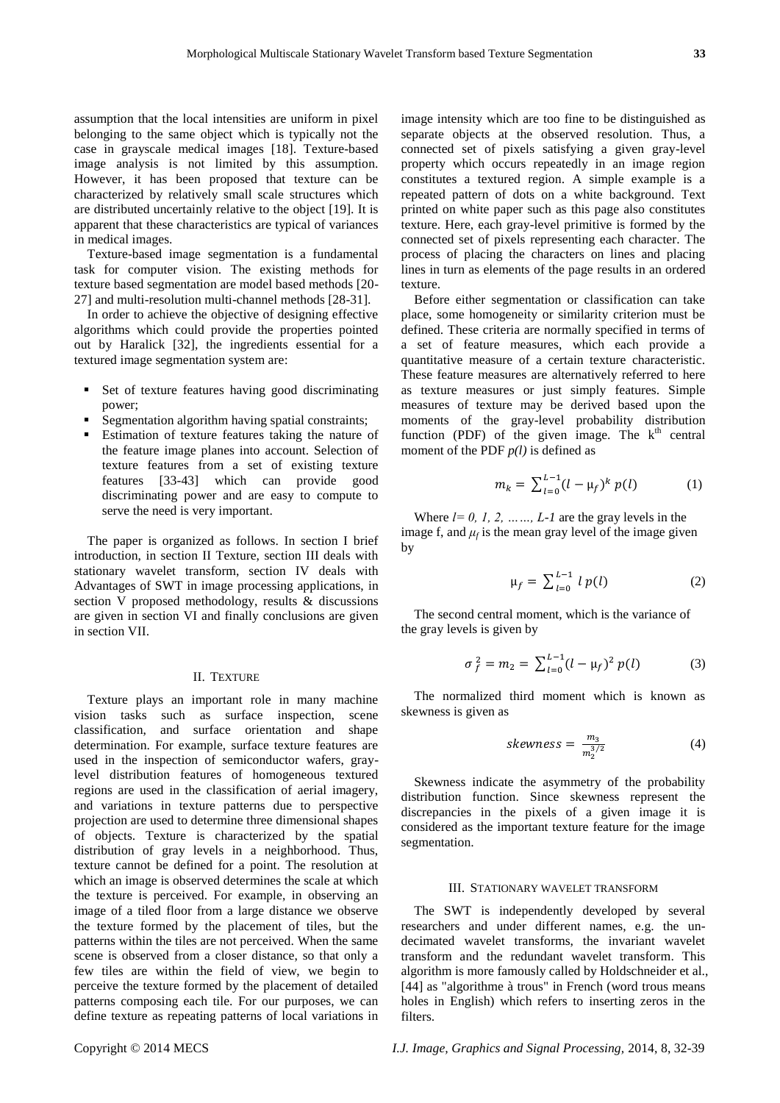assumption that the local intensities are uniform in pixel belonging to the same object which is typically not the case in grayscale medical images [18]. Texture-based image analysis is not limited by this assumption. However, it has been proposed that texture can be characterized by relatively small scale structures which are distributed uncertainly relative to the object [19]. It is apparent that these characteristics are typical of variances in medical images.

Texture-based image segmentation is a fundamental task for computer vision. The existing methods for texture based segmentation are model based methods [20- 27] and multi-resolution multi-channel methods [28-31].

In order to achieve the objective of designing effective algorithms which could provide the properties pointed out by Haralick [32], the ingredients essential for a textured image segmentation system are:

- Set of texture features having good discriminating power;
- Segmentation algorithm having spatial constraints;
- Estimation of texture features taking the nature of the feature image planes into account. Selection of texture features from a set of existing texture features [33-43] which can provide good discriminating power and are easy to compute to serve the need is very important.

The paper is organized as follows. In section I brief introduction, in section II Texture, section III deals with stationary wavelet transform, section IV deals with Advantages of SWT in image processing applications, in section V proposed methodology, results & discussions are given in section VI and finally conclusions are given in section VII.

#### II. TEXTURE

Texture plays an important role in many machine vision tasks such as surface inspection, scene classification, and surface orientation and shape determination. For example, surface texture features are used in the inspection of semiconductor wafers, graylevel distribution features of homogeneous textured regions are used in the classification of aerial imagery, and variations in texture patterns due to perspective projection are used to determine three dimensional shapes of objects. Texture is characterized by the spatial distribution of gray levels in a neighborhood. Thus, texture cannot be defined for a point. The resolution at which an image is observed determines the scale at which the texture is perceived. For example, in observing an image of a tiled floor from a large distance we observe the texture formed by the placement of tiles, but the patterns within the tiles are not perceived. When the same scene is observed from a closer distance, so that only a few tiles are within the field of view, we begin to perceive the texture formed by the placement of detailed patterns composing each tile. For our purposes, we can define texture as repeating patterns of local variations in image intensity which are too fine to be distinguished as separate objects at the observed resolution. Thus, a connected set of pixels satisfying a given gray-level property which occurs repeatedly in an image region constitutes a textured region. A simple example is a repeated pattern of dots on a white background. Text printed on white paper such as this page also constitutes texture. Here, each gray-level primitive is formed by the connected set of pixels representing each character. The process of placing the characters on lines and placing lines in turn as elements of the page results in an ordered texture.

Before either segmentation or classification can take place, some homogeneity or similarity criterion must be defined. These criteria are normally specified in terms of a set of feature measures, which each provide a quantitative measure of a certain texture characteristic. These feature measures are alternatively referred to here as texture measures or just simply features. Simple measures of texture may be derived based upon the moments of the gray-level probability distribution function (PDF) of the given image. The  $k<sup>th</sup>$  central moment of the PDF *p(l)* is defined as

$$
m_k = \sum_{l=0}^{L-1} (l - \mu_f)^k p(l) \tag{1}
$$

Where  $l= 0, 1, 2, \ldots, L-1$  are the gray levels in the image f, and  $\mu_f$  is the mean gray level of the image given by

$$
\mu_f = \sum_{l=0}^{L-1} l \, p(l) \tag{2}
$$

The second central moment, which is the variance of the gray levels is given by

$$
\sigma_f^2 = m_2 = \sum_{l=0}^{L-1} (l - \mu_f)^2 p(l) \tag{3}
$$

The normalized third moment which is known as skewness is given as

$$
skewness = \frac{m_3}{m_2^{3/2}}\tag{4}
$$

Skewness indicate the asymmetry of the probability distribution function. Since skewness represent the discrepancies in the pixels of a given image it is considered as the important texture feature for the image segmentation.

#### III. STATIONARY WAVELET TRANSFORM

The SWT is independently developed by several researchers and under different names, e.g. the undecimated wavelet transforms, the invariant wavelet transform and the redundant wavelet transform. This algorithm is more famously called by Holdschneider et al., [44] as "algorithme à trous" in French (word trous means holes in English) which refers to inserting zeros in the filters.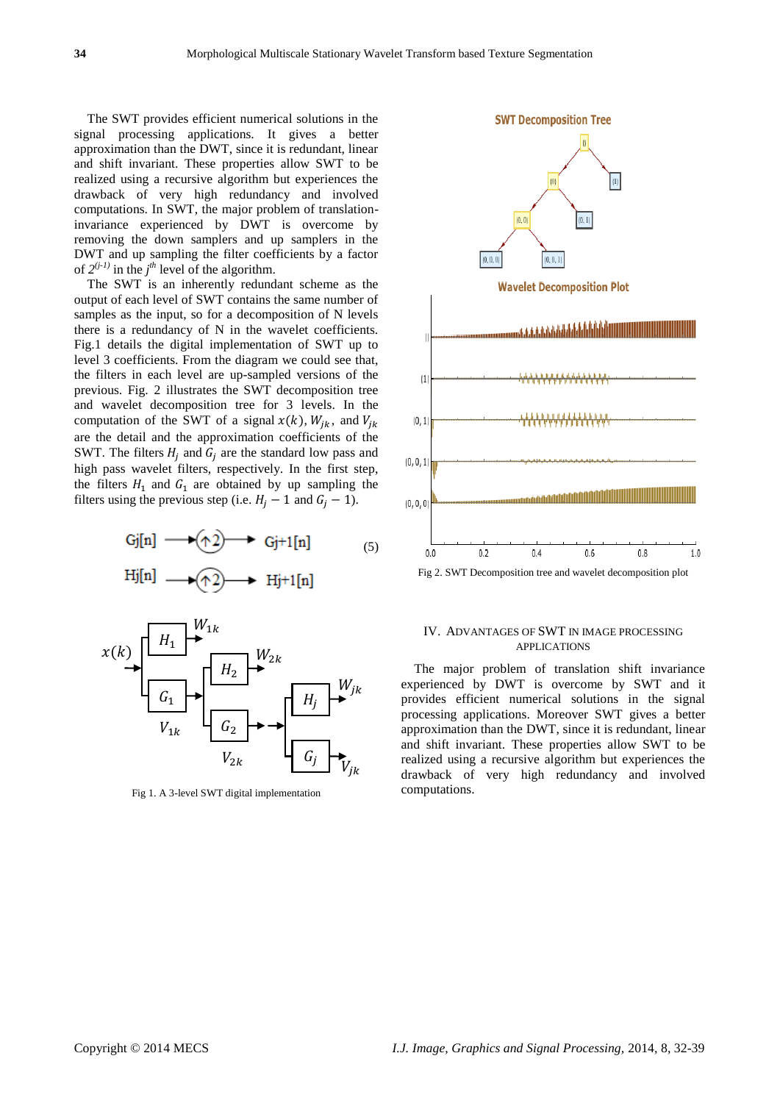The SWT provides efficient numerical solutions in the signal processing applications. It gives a better approximation than the DWT, since it is redundant, linear and shift invariant. These properties allow SWT to be realized using a recursive algorithm but experiences the drawback of very high redundancy and involved computations. In SWT, the major problem of translationinvariance experienced by DWT is overcome by removing the down samplers and up samplers in the DWT and up sampling the filter coefficients by a factor of  $2^{(j-1)}$  in the  $j^{\text{th}}$  level of the algorithm.

The SWT is an inherently redundant scheme as the output of each level of SWT contains the same number of samples as the input, so for a decomposition of N levels there is a redundancy of N in the wavelet coefficients. Fig.1 details the digital implementation of SWT up to level 3 coefficients. From the diagram we could see that, the filters in each level are up-sampled versions of the previous. Fig. 2 illustrates the SWT decomposition tree and wavelet decomposition tree for 3 levels. In the computation of the SWT of a signal  $x(k)$ ,  $W_{jk}$ , and  $V_{jk}$ are the detail and the approximation coefficients of the SWT. The filters  $H_i$  and  $G_i$  are the standard low pass and high pass wavelet filters, respectively. In the first step, the filters  $H_1$  and  $G_1$  are obtained by up sampling the filters using the previous step (i.e.  $H_i - 1$  and  $G_i - 1$ ).

$$
Gj[n] \longrightarrow (\uparrow 2) \longrightarrow Gj+1[n] \tag{5}
$$
  
Hj[n] 
$$
\longrightarrow (\uparrow 2) \longrightarrow Hj+1[n]
$$



Fig 1. A 3-level SWT digital implementation



## IV. ADVANTAGES OF SWT IN IMAGE PROCESSING APPLICATIONS

The major problem of translation shift invariance experienced by DWT is overcome by SWT and it provides efficient numerical solutions in the signal processing applications. Moreover SWT gives a better approximation than the DWT, since it is redundant, linear and shift invariant. These properties allow SWT to be realized using a recursive algorithm but experiences the drawback of very high redundancy and involved computations.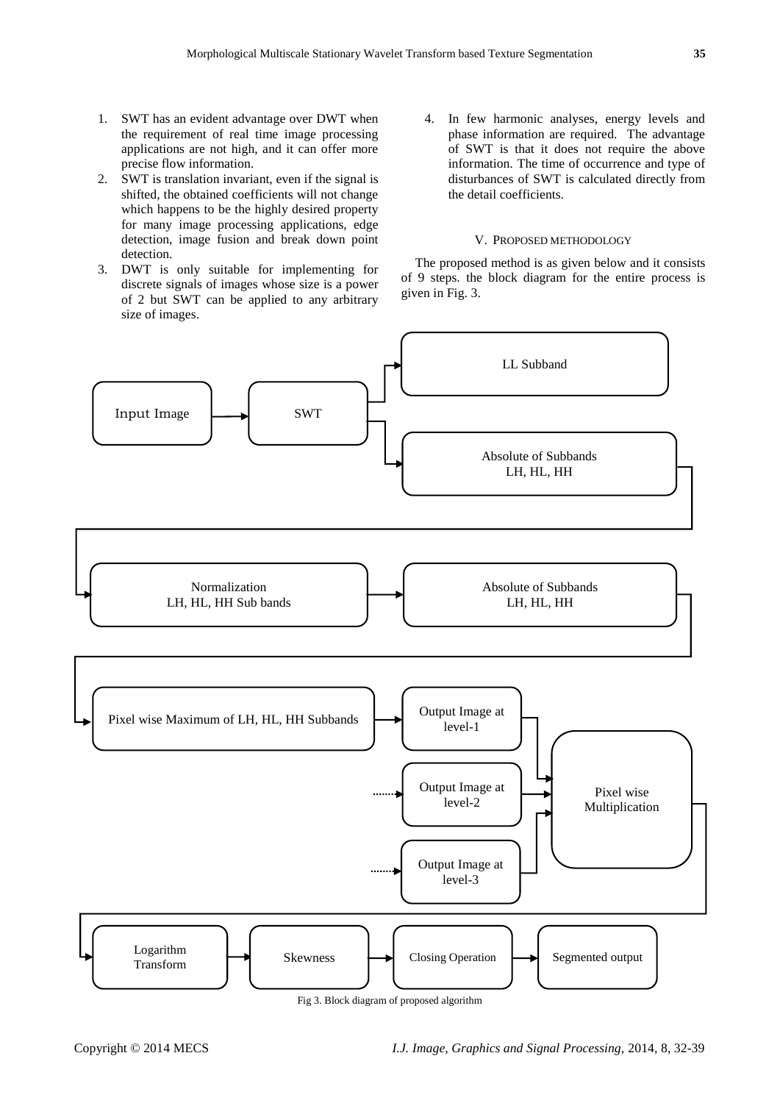- 1. SWT has an evident advantage over DWT when the requirement of real time image processing applications are not high, and it can offer more precise flow information.
- 2. SWT is translation invariant, even if the signal is shifted, the obtained coefficients will not change which happens to be the highly desired property for many image processing applications, edge detection, image fusion and break down point detection.
- 3. DWT is only suitable for implementing for discrete signals of images whose size is a power of 2 but SWT can be applied to any arbitrary size of images.
- 4. In few harmonic analyses, energy levels and phase information are required. The advantage of SWT is that it does not require the above information. The time of occurrence and type of disturbances of SWT is calculated directly from the detail coefficients.

# V. PROPOSED METHODOLOGY

The proposed method is as given below and it consists of 9 steps. the block diagram for the entire process is given in Fig. 3.



Fig 3. Block diagram of proposed algorithm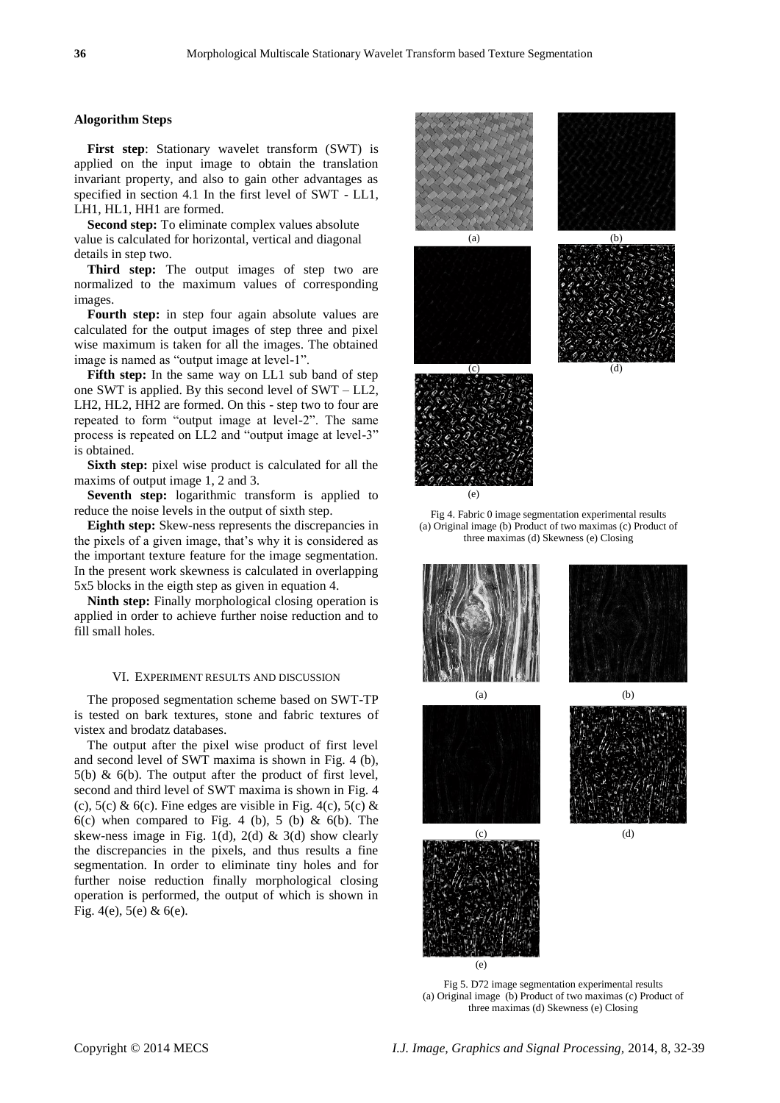# **Alogorithm Steps**

**First step**: Stationary wavelet transform (SWT) is applied on the input image to obtain the translation invariant property, and also to gain other advantages as specified in section 4.1 In the first level of SWT - LL1, LH1, HL1, HH1 are formed.

**Second step:** To eliminate complex values absolute value is calculated for horizontal, vertical and diagonal details in step two.

**Third step:** The output images of step two are normalized to the maximum values of corresponding images.

**Fourth step:** in step four again absolute values are calculated for the output images of step three and pixel wise maximum is taken for all the images. The obtained image is named as "output image at level-1".

**Fifth step:** In the same way on LL1 sub band of step one SWT is applied. By this second level of SWT – LL2, LH2, HL2, HH2 are formed. On this - step two to four are repeated to form "output image at level-2". The same process is repeated on LL2 and "output image at level-3" is obtained.

**Sixth step:** pixel wise product is calculated for all the maxims of output image 1, 2 and 3.

**Seventh step:** logarithmic transform is applied to reduce the noise levels in the output of sixth step.

**Eighth step:** Skew-ness represents the discrepancies in the pixels of a given image, that's why it is considered as the important texture feature for the image segmentation. In the present work skewness is calculated in overlapping 5x5 blocks in the eigth step as given in equation 4.

**Ninth step:** Finally morphological closing operation is applied in order to achieve further noise reduction and to fill small holes.

#### VI. EXPERIMENT RESULTS AND DISCUSSION

The proposed segmentation scheme based on SWT-TP is tested on bark textures, stone and fabric textures of vistex and brodatz databases.

The output after the pixel wise product of first level and second level of SWT maxima is shown in Fig. 4 (b),  $5(b)$  &  $6(b)$ . The output after the product of first level, second and third level of SWT maxima is shown in Fig. 4 (c),  $5(c)$  &  $6(c)$ . Fine edges are visible in Fig. 4(c),  $5(c)$  & 6(c) when compared to Fig. 4 (b), 5 (b) & 6(b). The skew-ness image in Fig. 1(d), 2(d) & 3(d) show clearly the discrepancies in the pixels, and thus results a fine segmentation. In order to eliminate tiny holes and for further noise reduction finally morphological closing operation is performed, the output of which is shown in Fig. 4(e), 5(e) & 6(e).



Fig 4. Fabric 0 image segmentation experimental results (a) Original image (b) Product of two maximas (c) Product of three maximas (d) Skewness (e) Closing



Fig 5. D72 image segmentation experimental results (a) Original image (b) Product of two maximas (c) Product of three maximas (d) Skewness (e) Closing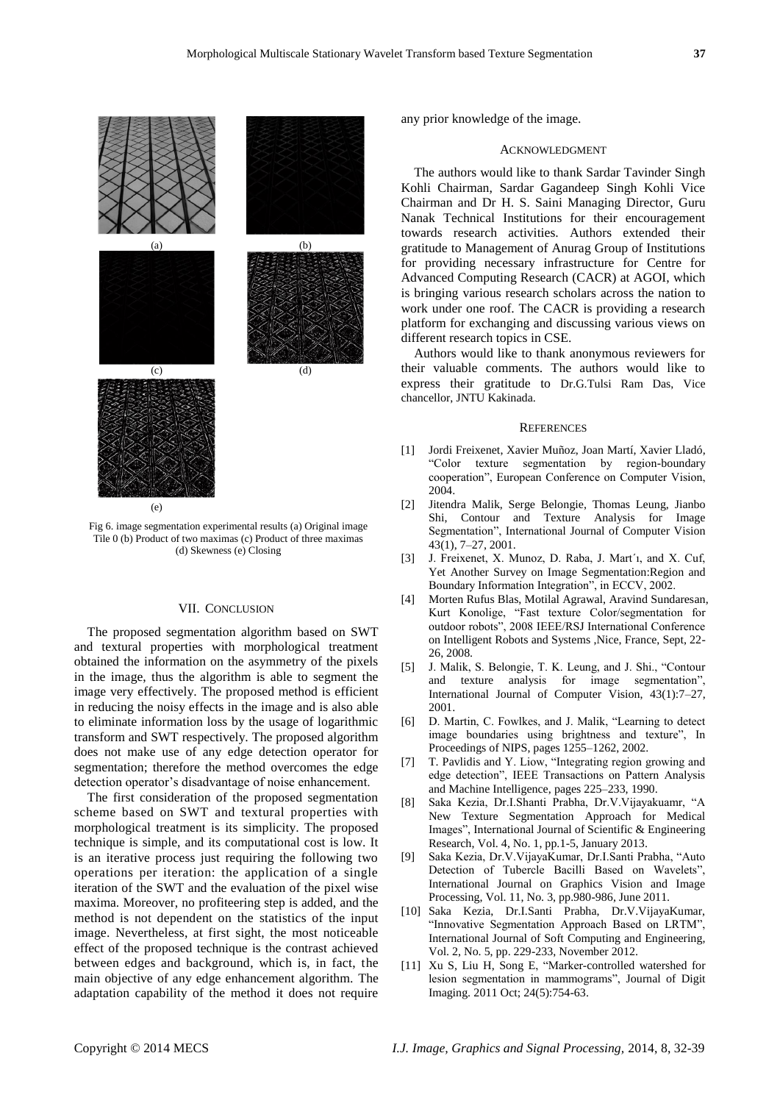

(e)

Fig 6. image segmentation experimental results (a) Original image Tile 0 (b) Product of two maximas (c) Product of three maximas (d) Skewness (e) Closing

### VII. CONCLUSION

The proposed segmentation algorithm based on SWT and textural properties with morphological treatment obtained the information on the asymmetry of the pixels in the image, thus the algorithm is able to segment the image very effectively. The proposed method is efficient in reducing the noisy effects in the image and is also able to eliminate information loss by the usage of logarithmic transform and SWT respectively. The proposed algorithm does not make use of any edge detection operator for segmentation; therefore the method overcomes the edge detection operator's disadvantage of noise enhancement.

The first consideration of the proposed segmentation scheme based on SWT and textural properties with morphological treatment is its simplicity. The proposed technique is simple, and its computational cost is low. It is an iterative process just requiring the following two operations per iteration: the application of a single iteration of the SWT and the evaluation of the pixel wise maxima. Moreover, no profiteering step is added, and the method is not dependent on the statistics of the input image. Nevertheless, at first sight, the most noticeable effect of the proposed technique is the contrast achieved between edges and background, which is, in fact, the main objective of any edge enhancement algorithm. The adaptation capability of the method it does not require

any prior knowledge of the image.

#### ACKNOWLEDGMENT

The authors would like to thank Sardar Tavinder Singh Kohli Chairman, Sardar Gagandeep Singh Kohli Vice Chairman and Dr H. S. Saini Managing Director, Guru Nanak Technical Institutions for their encouragement towards research activities. Authors extended their gratitude to Management of Anurag Group of Institutions for providing necessary infrastructure for Centre for Advanced Computing Research (CACR) at AGOI, which is bringing various research scholars across the nation to work under one roof. The CACR is providing a research platform for exchanging and discussing various views on different research topics in CSE.

Authors would like to thank anonymous reviewers for their valuable comments. The authors would like to express their gratitude to Dr.G.Tulsi Ram Das, Vice chancellor, JNTU Kakinada.

#### **REFERENCES**

- [1] Jordi Freixenet, Xavier Muñoz, Joan Martí, Xavier Lladó, ―Color texture segmentation by region-boundary cooperation", European Conference on Computer Vision, 2004.
- [2] Jitendra Malik, Serge Belongie, Thomas Leung, Jianbo Shi, Contour and Texture Analysis for Image Segmentation", International Journal of Computer Vision 43(1), 7–27, 2001.
- [3] J. Freixenet, X. Munoz, D. Raba, J. Mart´ı, and X. Cuf, Yet Another Survey on Image Segmentation:Region and Boundary Information Integration", in ECCV, 2002.
- [4] Morten Rufus Blas, Motilal Agrawal, Aravind Sundaresan, Kurt Konolige, "Fast texture Color/segmentation for outdoor robots", 2008 IEEE/RSJ International Conference on Intelligent Robots and Systems ,Nice, France, Sept, 22- 26, 2008.
- [5] J. Malik, S. Belongie, T. K. Leung, and J. Shi., "Contour and texture analysis for image segmentation", International Journal of Computer Vision, 43(1):7–27, 2001.
- [6] D. Martin, C. Fowlkes, and J. Malik, "Learning to detect image boundaries using brightness and texture", In Proceedings of NIPS, pages 1255–1262, 2002.
- [7] T. Pavlidis and Y. Liow, "Integrating region growing and edge detection", IEEE Transactions on Pattern Analysis and Machine Intelligence, pages 225–233, 1990.
- [8] Saka Kezia, Dr.I.Shanti Prabha, Dr.V.Vijayakuamr, "A New Texture Segmentation Approach for Medical Images", International Journal of Scientific & Engineering Research, Vol. 4, No. 1, pp.1-5, January 2013.
- [9] Saka Kezia, Dr.V.VijayaKumar, Dr.I.Santi Prabha, "Auto Detection of Tubercle Bacilli Based on Wavelets", International Journal on Graphics Vision and Image Processing, Vol. 11, No. 3, pp.980-986, June 2011.
- [10] Saka Kezia, Dr.I.Santi Prabha, Dr.V.VijayaKumar, "Innovative Segmentation Approach Based on LRTM", International Journal of Soft Computing and Engineering, Vol. 2, No. 5, pp. 229-233, November 2012.
- [11] [Xu S,](http://www.ncbi.nlm.nih.gov/pubmed?term=Xu%20S%5BAuthor%5D&cauthor=true&cauthor_uid=21327973) [Liu H,](http://www.ncbi.nlm.nih.gov/pubmed?term=Liu%20H%5BAuthor%5D&cauthor=true&cauthor_uid=21327973) [Song E,](http://www.ncbi.nlm.nih.gov/pubmed?term=Song%20E%5BAuthor%5D&cauthor=true&cauthor_uid=21327973) "Marker-controlled watershed for lesion segmentation in mammograms", Journal of Digit [Imaging.](http://www.ncbi.nlm.nih.gov/pubmed/21327973) 2011 Oct; 24(5):754-63.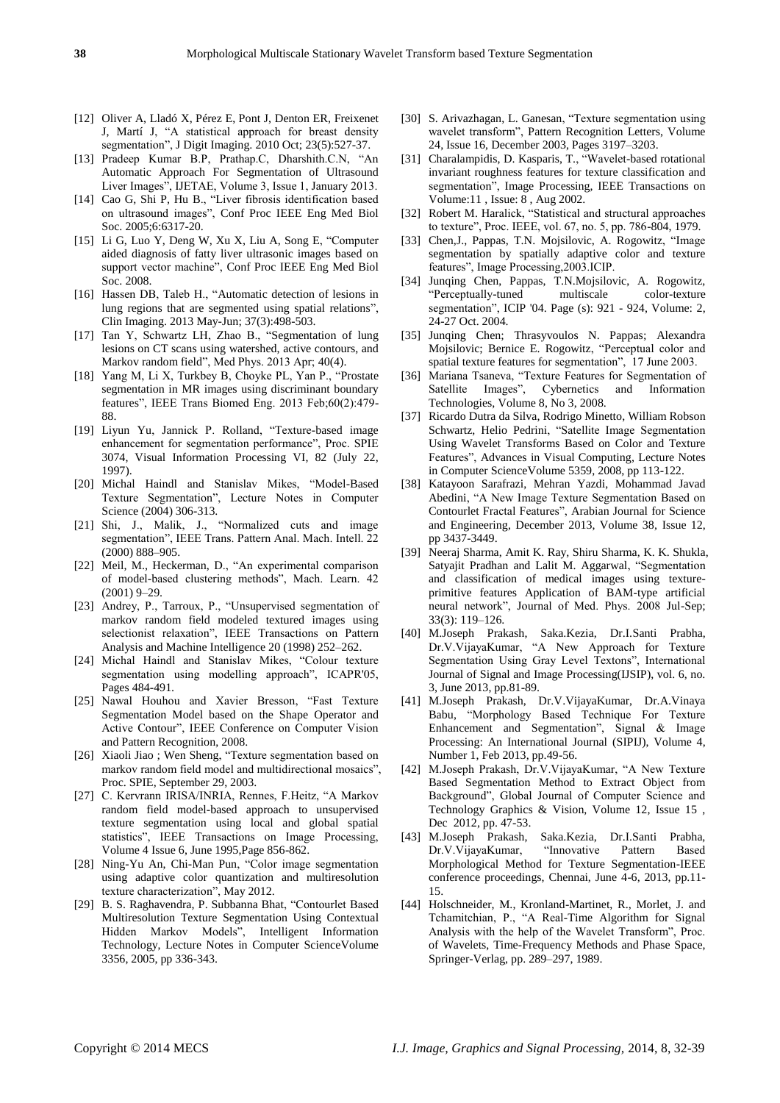- [12] [Oliver A,](http://www.ncbi.nlm.nih.gov/pubmed?term=Oliver%20A%5BAuthor%5D&cauthor=true&cauthor_uid=19506953) [Lladó X,](http://www.ncbi.nlm.nih.gov/pubmed?term=Llad%C3%B3%20X%5BAuthor%5D&cauthor=true&cauthor_uid=19506953) [Pérez E,](http://www.ncbi.nlm.nih.gov/pubmed?term=P%C3%A9rez%20E%5BAuthor%5D&cauthor=true&cauthor_uid=19506953) [Pont J,](http://www.ncbi.nlm.nih.gov/pubmed?term=Pont%20J%5BAuthor%5D&cauthor=true&cauthor_uid=19506953) [Denton ER,](http://www.ncbi.nlm.nih.gov/pubmed?term=Denton%20ER%5BAuthor%5D&cauthor=true&cauthor_uid=19506953) [Freixenet](http://www.ncbi.nlm.nih.gov/pubmed?term=Freixenet%20J%5BAuthor%5D&cauthor=true&cauthor_uid=19506953)  [J,](http://www.ncbi.nlm.nih.gov/pubmed?term=Freixenet%20J%5BAuthor%5D&cauthor=true&cauthor_uid=19506953) [Martí J,](http://www.ncbi.nlm.nih.gov/pubmed?term=Mart%C3%AD%20J%5BAuthor%5D&cauthor=true&cauthor_uid=19506953) "A statistical approach for breast density segmentation", [J Digit Imaging.](http://www.ncbi.nlm.nih.gov/pubmed/19506953) 2010 Oct; 23(5):527-37.
- [13] Pradeep Kumar B.P, Prathap.C, Dharshith.C.N, "An Automatic Approach For Segmentation of Ultrasound Liver Images", IJETAE, Volume 3, Issue 1, January 2013.
- [14] [Cao G,](http://www.ncbi.nlm.nih.gov/pubmed?term=Cao%20G%5BAuthor%5D&cauthor=true&cauthor_uid=17281712) [Shi P,](http://www.ncbi.nlm.nih.gov/pubmed?term=Shi%20P%5BAuthor%5D&cauthor=true&cauthor_uid=17281712) [Hu B.](http://www.ncbi.nlm.nih.gov/pubmed?term=Hu%20B%5BAuthor%5D&cauthor=true&cauthor_uid=17281712), "Liver fibrosis identification based on ultrasound images", Conf Proc IEEE Eng Med Biol [Soc.](http://www.ncbi.nlm.nih.gov/pubmed/17281712) 2005;6:6317-20.
- [15] [Li G,](http://www.ncbi.nlm.nih.gov/pubmed?term=Li%20G%5BAuthor%5D&cauthor=true&cauthor_uid=19163782) [Luo Y,](http://www.ncbi.nlm.nih.gov/pubmed?term=Luo%20Y%5BAuthor%5D&cauthor=true&cauthor_uid=19163782) [Deng W,](http://www.ncbi.nlm.nih.gov/pubmed?term=Deng%20W%5BAuthor%5D&cauthor=true&cauthor_uid=19163782) [Xu X,](http://www.ncbi.nlm.nih.gov/pubmed?term=Xu%20X%5BAuthor%5D&cauthor=true&cauthor_uid=19163782) [Liu A,](http://www.ncbi.nlm.nih.gov/pubmed?term=Liu%20A%5BAuthor%5D&cauthor=true&cauthor_uid=19163782) [Song E,](http://www.ncbi.nlm.nih.gov/pubmed?term=Song%20E%5BAuthor%5D&cauthor=true&cauthor_uid=19163782) "Computer aided diagnosis of fatty liver ultrasonic images based on support vector machine", Conf Proc IEEE Eng Med Biol [Soc.](http://www.ncbi.nlm.nih.gov/pubmed/19163782) 2008.
- [16] Hassen DB, Taleb H., "Automatic detection of lesions in lung regions that are segmented using spatial relations", Clin Imaging. 2013 May-Jun; 37(3):498-503.
- [17] Tan Y, Schwartz LH, Zhao B., "Segmentation of lung [lesions on CT scans using watershed, active contours, and](http://www.ncbi.nlm.nih.gov/pubmed/23556926)  Markov random field", Med Phys. 2013 Apr; 40(4).
- [18] Yang M, Li X, Turkbey B, Choyke PL, Yan P., "Prostate [segmentation in MR images using discriminant boundary](http://www.ncbi.nlm.nih.gov/pubmed/23192474)  features", IEEE Trans Biomed Eng. 2013 Feb;60(2):479-88.
- [19] Liyun Yu, Jannick P. Rolland, "Texture-based image enhancement for segmentation performance", Proc. SPIE 3074, Visual Information Processing VI, 82 (July 22, 1997).
- [20] Michal Haindl and Stanislav Mikes, "Model-Based Texture Segmentation", Lecture Notes in Computer Science (2004) 306-313.
- [21] Shi, J., Malik, J., "Normalized cuts and image segmentation", IEEE Trans. Pattern Anal. Mach. Intell. 22 (2000) 888–905.
- [22] Meil, M., Heckerman, D., "An experimental comparison of model-based clustering methods", Mach. Learn. 42 (2001) 9–29.
- [23] Andrey, P., Tarroux, P., "Unsupervised segmentation of markov random field modeled textured images using selectionist relaxation", IEEE Transactions on Pattern Analysis and Machine Intelligence 20 (1998) 252–262.
- [24] Michal Haindl and Stanislav Mikes, "Colour texture segmentation using modelling approach", ICAPR'05, Pages 484-491.
- [25] Nawal Houhou and Xavier Bresson, "Fast Texture Segmentation Model based on the Shape Operator and Active Contour", IEEE Conference on Computer Vision and Pattern Recognition, 2008.
- [26] [Xiaoli Jiao](http://profiles.spiedigitallibrary.org/summary.aspx?DOI=10.1117%2f12.539026&Name=Xiaoli+Jiao) [; Wen Sheng,](http://profiles.spiedigitallibrary.org/summary.aspx?DOI=10.1117%2f12.539026&Name=Wen+Sheng) "Texture segmentation based on markov random field model and multidirectional mosaics". Proc. SPIE, September 29, 2003.
- [27] C. Kervrann IRISA/INRIA, Rennes, F. Heitz, "A Markov random field model-based approach to unsupervised texture segmentation using local and global spatial statistics", IEEE Transactions on Image Processing, Volume 4 Issue 6, June 1995,Page 856-862.
- [28] [Ning-Yu An,](http://link.springer.com/search?facet-author=%22Ning-Yu+An%22) [Chi-Man Pun,](http://link.springer.com/search?facet-author=%22Chi-Man+Pun%22) "Color image segmentation using adaptive color quantization and multiresolution texture characterization", May 2012.
- [29] [B. S. Raghavendra,](http://link.springer.com/search?facet-author=%22B.+S.+Raghavendra%22) [P. Subbanna Bhat,](http://link.springer.com/search?facet-author=%22P.+Subbanna+Bhat%22) "Contourlet Based Multiresolution Texture Segmentation Using Contextual Hidden Markov Models", Intelligent Information [Technology,](http://link.springer.com/book/10.1007/b104585) [Lecture Notes in Computer ScienceV](http://link.springer.com/bookseries/558)olume 3356, 2005, pp 336-343.
- [30] [S. Arivazhagan,](http://www.sciencedirect.com/science/article/pii/S0167865503001867) [L. Ganesan,](http://www.sciencedirect.com/science/article/pii/S0167865503001867) "Texture segmentation using wavelet transform", [Pattern Recognition Letters,](http://www.sciencedirect.com/science/journal/01678655) Volume [24, Issue 16,](http://www.sciencedirect.com/science/journal/01678655/24/16) December 2003, Pages 3197–3203.
- [31] [Charalampidis, D.](http://ieeexplore.ieee.org/search/searchresult.jsp?searchWithin=p_Authors:.QT.Charalampidis,%20D..QT.&searchWithin=p_Author_Ids:37328344100&newsearch=true) [Kasparis, T.,](http://ieeexplore.ieee.org/search/searchresult.jsp?searchWithin=p_Authors:.QT.Kasparis,%20T..QT.&searchWithin=p_Author_Ids:37274958600&newsearch=true) "Wavelet-based rotational invariant roughness features for texture classification and segmentation", Image Processing, IEEE Transactions on Volume:11 [, Issue: 8 ,](http://ieeexplore.ieee.org/xpl/tocresult.jsp?isnumber=22043) Aug 2002.
- [32] Robert M. Haralick, "Statistical and structural approaches to texture", Proc. IEEE, vol. 67, no. 5, pp. 786-804, 1979.
- [33] Chen, J., [Pappas, T.N.](http://ieeexplore.ieee.org/search/searchresult.jsp?searchWithin=p_Authors:.QT.Pappas,%20T.N..QT.&searchWithin=p_Author_Ids:37276779800&newsearch=true) [Mojsilovic, A.](http://ieeexplore.ieee.org/search/searchresult.jsp?searchWithin=p_Authors:.QT.Mojsilovic,%20A..QT.&searchWithin=p_Author_Ids:37324405000&newsearch=true) [Rogowitz,](http://ieeexplore.ieee.org/search/searchresult.jsp?searchWithin=p_Authors:.QT.Rogowitz,%20B..QT.&searchWithin=p_Author_Ids:37332114400&newsearch=true) "Image segmentation by spatially adaptive color and texture features", Image Processing, 2003.ICIP.
- [34] Junqing Chen, Pappas, T.N.Mojsilovic, A. Rogowitz, ―Perceptually-tuned multiscale color-texture segmentation", ICIP '04. Page (s): 921 - 924, Volume: 2, 24-27 Oct. 2004.
- [35] [Junqing Chen;](http://spie.org/app/profiles/viewer.aspx?profile=UHYHFE) [Thrasyvoulos N. Pappas;](http://spie.org/app/profiles/viewer.aspx?profile=RKJNEL) Alexandra Mojsilovic; [Bernice E. Rogowitz,](http://spie.org/app/profiles/viewer.aspx?profile=VNCFVR) "Perceptual color and spatial texture features for segmentation", 17 June 2003.
- [36] Mariana Tsaneva, "Texture Features for Segmentation of Satellite Images", Cybernetics and Information Technologies, Volume 8, No 3, 2008.
- [37] [Ricardo Dutra da Silva,](http://link.springer.com/search?facet-author=%22Ricardo+Dutra+da+Silva%22) [Rodrigo Minetto,](http://link.springer.com/search?facet-author=%22Rodrigo+Minetto%22) [William Robson](http://link.springer.com/search?facet-author=%22William+Robson+Schwartz%22)  [Schwartz,](http://link.springer.com/search?facet-author=%22William+Robson+Schwartz%22) [Helio Pedrini,](http://link.springer.com/search?facet-author=%22Helio+Pedrini%22) "Satellite Image Segmentation Using Wavelet Transforms Based on Color and Texture Features", [Advances in Visual Computing,](http://link.springer.com/book/10.1007/978-3-540-89646-3) Lecture Notes [in Computer ScienceV](http://link.springer.com/bookseries/558)olume 5359, 2008, pp 113-122.
- [38] [Katayoon Sarafrazi,](http://link.springer.com/search?facet-author=%22Katayoon+Sarafrazi%22) [Mehran Yazdi,](http://link.springer.com/search?facet-author=%22Mehran+Yazdi%22) [Mohammad Javad](http://link.springer.com/search?facet-author=%22Mohammad+Javad+Abedini%22)  [Abedini,](http://link.springer.com/search?facet-author=%22Mohammad+Javad+Abedini%22) "A New Image Texture Segmentation Based on Contourlet Fractal Features", Arabian Journal for Science [and Engineering,](http://link.springer.com/journal/13369) December 2013, Volume 38, [Issue 12,](http://link.springer.com/journal/13369/38/12/page/1)  pp 3437-3449.
- [39] [Neeraj Sharma,](http://www.ncbi.nlm.nih.gov/pubmed/?term=Sharma%20N%5Bauth%5D) [Amit K. Ray,](http://www.ncbi.nlm.nih.gov/pubmed/?term=Ray%20AK%5Bauth%5D) [Shiru Sharma,](http://www.ncbi.nlm.nih.gov/pubmed/?term=Sharma%20S%5Bauth%5D) [K. K. Shukla,](http://www.ncbi.nlm.nih.gov/pubmed/?term=Shukla%20KK%5Bauth%5D) [Satyajit Pradhan](http://www.ncbi.nlm.nih.gov/pubmed/?term=Pradhan%20S%5Bauth%5D) and [Lalit M. Aggarwal,](http://www.ncbi.nlm.nih.gov/pubmed/?term=Aggarwal%20LM%5Bauth%5D) "Segmentation and classification of medical images using textureprimitive features Application of BAM-type artificial neural network", Journal of Med. Phys. 2008 Jul-Sep; 33(3): 119–126.
- [40] M.Joseph Prakash, Saka.Kezia, Dr.I.Santi Prabha, Dr.V.VijayaKumar, "A New Approach for Texture Segmentation Using Gray Level Textons", International Journal of Signal and Image Processing(IJSIP), vol. 6, no. 3, June 2013, pp.81-89.
- [41] M.Joseph Prakash, Dr.V.VijayaKumar, Dr.A.Vinaya Babu, "Morphology Based Technique For Texture Enhancement and Segmentation", Signal & Image Processing: An International Journal (SIPIJ), Volume 4, Number 1, Feb 2013, pp.49-56.
- [42] M.Joseph Prakash, Dr.V.VijayaKumar, "A New Texture Based Segmentation Method to Extract Object from Background", Global Journal of Computer Science and Technology Graphics & Vision, Volume 12, Issue 15 , Dec 2012, pp. 47-53.
- [43] M.Joseph Prakash, Saka.Kezia, Dr.I.Santi Prabha, Dr.V.VijayaKumar, "Innovative Pattern Based Morphological Method for Texture Segmentation-IEEE conference proceedings, Chennai, June 4-6, 2013, pp.11- 15.
- [44] Holschneider, M., Kronland-Martinet, R., Morlet, J. and Tchamitchian, P., "A Real-Time Algorithm for Signal Analysis with the help of the Wavelet Transform", Proc. of Wavelets, Time-Frequency Methods and Phase Space, Springer-Verlag, pp. 289–297, 1989.